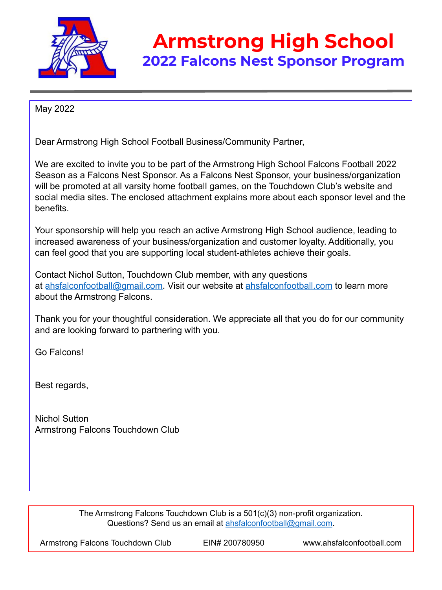

### **Armstrong High School 2022 Falcons Nest Sponsor Program**

May 2022

Dear Armstrong High School Football Business/Community Partner,

We are excited to invite you to be part of the Armstrong High School Falcons Football 2022 Season as a Falcons Nest Sponsor. As a Falcons Nest Sponsor, your business/organization will be promoted at all varsity home football games, on the Touchdown Club's website and social media sites. The enclosed attachment explains more about each sponsor level and the benefits.

Your sponsorship will help you reach an active Armstrong High School audience, leading to increased awareness of your business/organization and customer loyalty. Additionally, you can feel good that you are supporting local student-athletes achieve their goals.

Contact Nichol Sutton, Touchdown Club member, with any questions at ahsfalconfootball@gmail.com. Visit our website at ahsfalconfootball.com to learn more about the Armstrong Falcons.

Thank you for your thoughtful consideration. We appreciate all that you do for our community and are looking forward to partnering with you.

Go Falcons!

Best regards,

Nichol Sutton Armstrong Falcons Touchdown Club

> The Armstrong Falcons Touchdown Club is a 501(c)(3) non-profit organization. Questions? Send us an email at ahsfalconfootball@gmail.com.

Armstrong Falcons Touchdown Club EIN# 200780950 www.ahsfalconfootball.com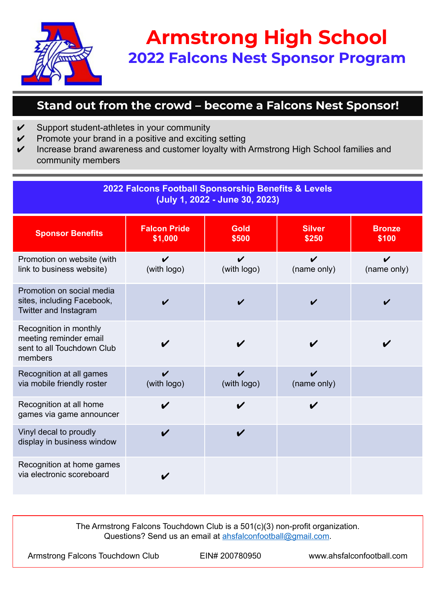

# **Armstrong High School 2022 Falcons Nest Sponsor Program**

#### **Stand out from the crowd – become a Falcons Nest Sponsor!**

- $\mathcal V$  Support student-athletes in your community
- $\mathcal V$  Promote your brand in a positive and exciting setting
- $\checkmark$  Increase brand awareness and customer loyalty with Armstrong High School families and community members

| 2022 Falcons Football Sponsorship Benefits & Levels<br>(July 1, 2022 - June 30, 2023)     |                                |                      |                                   |                        |
|-------------------------------------------------------------------------------------------|--------------------------------|----------------------|-----------------------------------|------------------------|
| <b>Sponsor Benefits</b>                                                                   | <b>Falcon Pride</b><br>\$1,000 | <b>Gold</b><br>\$500 | <b>Silver</b><br>\$250            | <b>Bronze</b><br>\$100 |
| Promotion on website (with<br>link to business website)                                   | ✔<br>(with logo)               | ✓<br>(with logo)     | ✔<br>(name only)                  | V<br>(name only)       |
| Promotion on social media<br>sites, including Facebook,<br>Twitter and Instagram          |                                |                      |                                   |                        |
| Recognition in monthly<br>meeting reminder email<br>sent to all Touchdown Club<br>members |                                |                      |                                   |                        |
| Recognition at all games<br>via mobile friendly roster                                    | ✔<br>(with logo)               | ✔<br>(with logo)     | $\boldsymbol{\nu}$<br>(name only) |                        |
| Recognition at all home<br>games via game announcer                                       | ✓                              | V                    | $\boldsymbol{\nu}$                |                        |
| Vinyl decal to proudly<br>display in business window                                      |                                | ✔                    |                                   |                        |
| Recognition at home games<br>via electronic scoreboard                                    |                                |                      |                                   |                        |

The Armstrong Falcons Touchdown Club is a 501(c)(3) non-profit organization. Questions? Send us an email at ahsfalconfootball@gmail.com.

Armstrong Falcons Touchdown Club EIN# 200780950 www.ahsfalconfootball.com